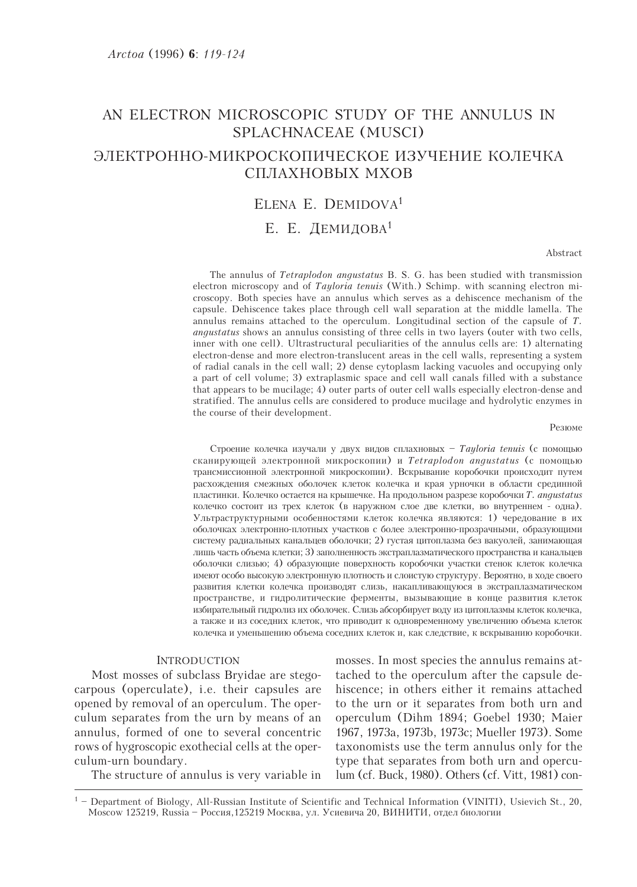# AN ELECTRON MICROSCOPIC STUDY OF THE ANNULUS IN SPLACHNACEAE (MUSCI) ЭЛЕКТРОННО-МИКРОСКОПИЧЕСКОЕ ИЗУЧЕНИЕ КОЛЕЧКА СПЛАХНОВЫХ МХОВ

## ELENA E. DEMIDOVA<sup>1</sup>

# Е. Е. ДЕМИДОВА<sup>1</sup>

Abstract

The annulus of *Tetraplodon angustatus* B. S. G. has been studied with transmission electron microscopy and of *Tayloria tenuis* (With.) Schimp. with scanning electron microscopy. Both species have an annulus which serves as a dehiscence mechanism of the capsule. Dehiscence takes place through cell wall separation at the middle lamella. The annulus remains attached to the operculum. Longitudinal section of the capsule of  $T$ . angustatus shows an annulus consisting of three cells in two layers (outer with two cells, inner with one cell). Ultrastructural peculiarities of the annulus cells are: 1) alternating electron-dense and more electron-translucent areas in the cell walls, representing a system of radial canals in the cell wall; 2) dense cytoplasm lacking vacuoles and occupying only a part of cell volume; 3) extraplasmic space and cell wall canals filled with a substance that appears to be mucilage; 4) outer parts of outer cell walls especially electron-dense and stratified. The annulus cells are considered to produce mucilage and hydrolytic enzymes in the course of their development.

Резюме

Строение колечка изучали у двух видов сплахновых - Tayloria tenuis (с помощью сканирующей электронной микроскопии) и Tetraplodon angustatus (с помощью трансмиссионной электронной микроскопии). Вскрывание коробочки происходит путем расхождения смежных оболочек клеток колечка и края урночки в области срединной пластинки. Колечко остается на крышечке. На продольном разрезе коробочки T. angustatus колечко состоит из трех клеток (в наружном слое две клетки, во внутреннем - одна). Ультраструктурными особенностями клеток колечка являются: 1) чередование в их оболочках электронно-плотных участков с более электронно-прозрачными, образующими систему радиальных канальцев оболочки; 2) густая цитоплазма без вакуолей, занимающая лишь часть объема клетки; 3) заполненность экстраплазматического пространства и канальцев оболочки слизью; 4) образующие поверхность коробочки участки стенок клеток колечка имеют особо высокую электронную плотность и слоистую структуру. Вероятно, в ходе своего развития клетки колечка производят слизь, накапливающуюся в экстраплазматическом пространстве, и гидролитические ферменты, вызывающие в конце развития клеток избирательный гидролиз их оболочек. Слизь абсорбирует воду из цитоплазмы клеток колечка, а также и из соседних клеток, что приводит к одновременному увеличению объема клеток колечка и уменьшению объема соседних клеток и, как следствие, к вскрыванию коробочки.

#### **INTRODUCTION**

Most mosses of subclass Bryidae are stegocarpous (operculate), i.e. their capsules are opened by removal of an operculum. The operculum separates from the urn by means of an annulus, formed of one to several concentric rows of hygroscopic exothecial cells at the operculum-urn boundary.

The structure of annulus is very variable in

mosses. In most species the annulus remains attached to the operculum after the capsule dehiscence; in others either it remains attached to the urn or it separates from both urn and operculum (Dihm 1894; Goebel 1930; Maier 1967, 1973a, 1973b, 1973c; Mueller 1973). Some taxonomists use the term annulus only for the type that separates from both urn and operculum (cf. Buck, 1980). Others (cf. Vitt, 1981) con-

 $1$  – Department of Biology, All-Russian Institute of Scientific and Technical Information (VINITI), Usievich St., 20, Moscow 125219, Russia - Россия, 125219 Москва, ул. Усиевича 20, ВИНИТИ, отдел биологии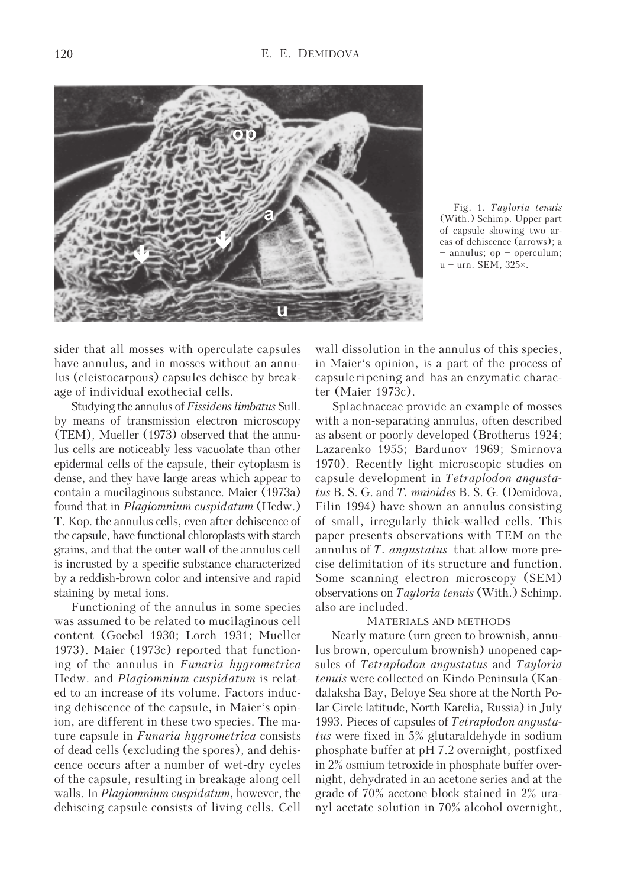

Fig. 1. Tayloria tenuis (With.) Schimp. Upper part of capsule showing two areas of dehiscence (arrows); a – annulus; op – operculum;  $u =$ urn. SEM, 325 $\times$ .

sider that all mosses with operculate capsules have annulus, and in mosses without an annulus (cleistocarpous) capsules dehisce by breakage of individual exothecial cells.

Studying the annulus of Fissidens limbatus Sull. by means of transmission electron microscopy (TEM), Mueller (1973) observed that the annulus cells are noticeably less vacuolate than other epidermal cells of the capsule, their cytoplasm is dense, and they have large areas which appear to contain a mucilaginous substance. Maier (1973a) found that in Plagiomnium cuspidatum (Hedw.) T. Kop. the annulus cells, even after dehiscence of the capsule, have functional chloroplasts with starch grains, and that the outer wall of the annulus cell is incrusted by a specific substance characterized by a reddish-brown color and intensive and rapid staining by metal ions.

Functioning of the annulus in some species was assumed to be related to mucilaginous cell content (Goebel 1930; Lorch 1931; Mueller 1973). Maier (1973c) reported that functioning of the annulus in Funaria hygrometrica Hedw. and Plagiomnium cuspidatum is related to an increase of its volume. Factors inducing dehiscence of the capsule, in Maier's opinion, are different in these two species. The mature capsule in Funaria hygrometrica consists of dead cells (excluding the spores), and dehiscence occurs after a number of wet-dry cycles of the capsule, resulting in breakage along cell walls. In *Plagiomnium cuspidatum*, however, the dehiscing capsule consists of living cells. Cell

wall dissolution in the annulus of this species, in Maier's opinion, is a part of the process of capsule ri pening and has an enzymatic character (Maier 1973c).

Splachnaceae provide an example of mosses with a non-separating annulus, often described as absent or poorly developed (Brotherus 1924; Lazarenko 1955; Bardunov 1969; Smirnova 1970). Recently light microscopic studies on capsule development in Tetraplodon angustatus B. S. G. and T. mnioides B. S. G. (Demidova, Filin 1994) have shown an annulus consisting of small, irregularly thick-walled cells. This paper presents observations with TEM on the annulus of T. angustatus that allow more precise delimitation of its structure and function. Some scanning electron microscopy (SEM) observations on Tayloria tenuis (With.) Schimp. also are included.

#### MATERIALS AND METHODS

Nearly mature (urn green to brownish, annulus brown, operculum brownish) unopened capsules of Tetraplodon angustatus and Tayloria tenuis were collected on Kindo Peninsula (Kandalaksha Bay, Beloye Sea shore at the North Polar Circle latitude, North Karelia, Russia) in July 1993. Pieces of capsules of Tetraplodon angustatus were fixed in 5% glutaraldehyde in sodium phosphate buffer at pH 7.2 overnight, postfixed in 2% osmium tetroxide in phosphate buffer overnight, dehydrated in an acetone series and at the grade of 70% acetone block stained in 2% uranyl acetate solution in 70% alcohol overnight,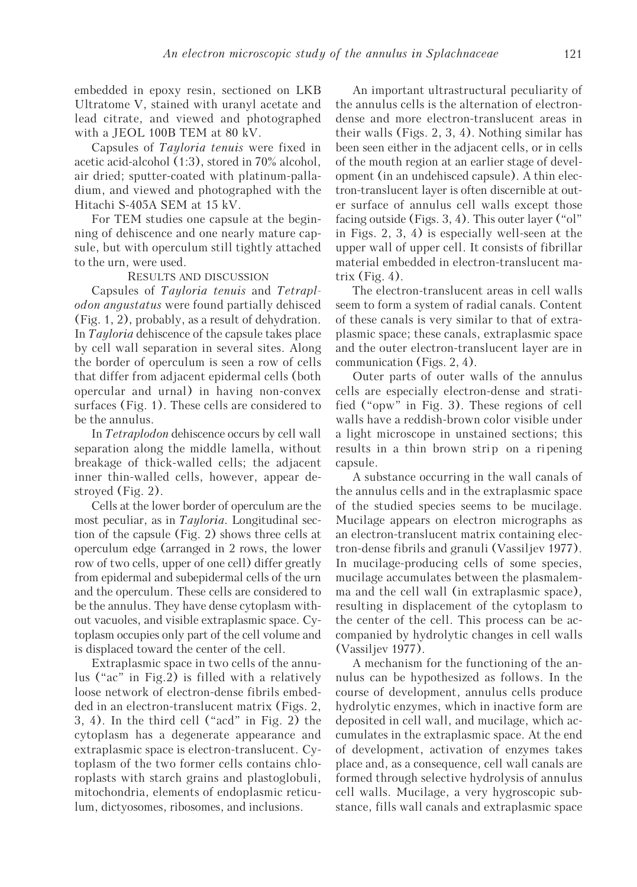embedded in epoxy resin, sectioned on LKB Ultratome V, stained with uranyl acetate and lead citrate, and viewed and photographed with a JEOL 100B TEM at 80 kV.

Capsules of Tayloria tenuis were fixed in acetic acid-alcohol (1:3), stored in 70% alcohol, air dried; sputter-coated with platinum-palladium, and viewed and photographed with the Hitachi S-405A SEM at 15 kV.

For TEM studies one capsule at the beginning of dehiscence and one nearly mature capsule, but with operculum still tightly attached to the urn, were used.

#### RESULTS AND DISCUSSION

Capsules of Tayloria tenuis and Tetraplodon angustatus were found partially dehisced (Fig. 1, 2), probably, as a result of dehydration. In Tayloria dehiscence of the capsule takes place by cell wall separation in several sites. Along the border of operculum is seen a row of cells that differ from adjacent epidermal cells (both opercular and urnal) in having non-convex surfaces (Fig. 1). These cells are considered to be the annulus.

In Tetraplodon dehiscence occurs by cell wall separation along the middle lamella, without breakage of thick-walled cells; the adjacent inner thin-walled cells, however, appear destroyed (Fig. 2).

Cells at the lower border of operculum are the most peculiar, as in *Tayloria*. Longitudinal section of the capsule (Fig. 2) shows three cells at operculum edge (arranged in 2 rows, the lower row of two cells, upper of one cell) differ greatly from epidermal and subepidermal cells of the urn and the operculum. These cells are considered to be the annulus. They have dense cytoplasm without vacuoles, and visible extraplasmic space. Cytoplasm occupies only part of the cell volume and is displaced toward the center of the cell.

Extraplasmic space in two cells of the annulus ("ac" in Fig.2) is filled with a relatively loose network of electron-dense fibrils embedded in an electron-translucent matrix (Figs. 2, 3, 4). In the third cell ("acd" in Fig. 2) the cytoplasm has a degenerate appearance and extraplasmic space is electron-translucent. Cytoplasm of the two former cells contains chloroplasts with starch grains and plastoglobuli, mitochondria, elements of endoplasmic reticulum, dictyosomes, ribosomes, and inclusions.

An important ultrastructural peculiarity of the annulus cells is the alternation of electrondense and more electron-translucent areas in their walls (Figs. 2, 3, 4). Nothing similar has been seen either in the adjacent cells, or in cells of the mouth region at an earlier stage of development (in an undehisced capsule). A thin electron-translucent layer is often discernible at outer surface of annulus cell walls except those facing outside (Figs. 3, 4). This outer layer ("ol" in Figs. 2, 3, 4) is especially well-seen at the upper wall of upper cell. It consists of fibrillar material embedded in electron-translucent matrix  $(Fig. 4)$ .

The electron-translucent areas in cell walls seem to form a system of radial canals. Content of these canals is very similar to that of extraplasmic space; these canals, extraplasmic space and the outer electron-translucent layer are in communication (Figs. 2, 4).

Outer parts of outer walls of the annulus cells are especially electron-dense and stratified ("opw" in Fig. 3). These regions of cell walls have a reddish-brown color visible under a light microscope in unstained sections; this results in a thin brown strip on a ripening capsule.

A substance occurring in the wall canals of the annulus cells and in the extraplasmic space of the studied species seems to be mucilage. Mucilage appears on electron micrographs as an electron-translucent matrix containing electron-dense fibrils and granuli (Vassiljev 1977). In mucilage-producing cells of some species, mucilage accumulates between the plasmalemma and the cell wall (in extraplasmic space), resulting in displacement of the cytoplasm to the center of the cell. This process can be accompanied by hydrolytic changes in cell walls (Vassiljev 1977).

A mechanism for the functioning of the annulus can be hypothesized as follows. In the course of development, annulus cells produce hydrolytic enzymes, which in inactive form are deposited in cell wall, and mucilage, which accumulates in the extraplasmic space. At the end of development, activation of enzymes takes place and, as a consequence, cell wall canals are formed through selective hydrolysis of annulus cell walls. Mucilage, a very hygroscopic substance, fills wall canals and extraplasmic space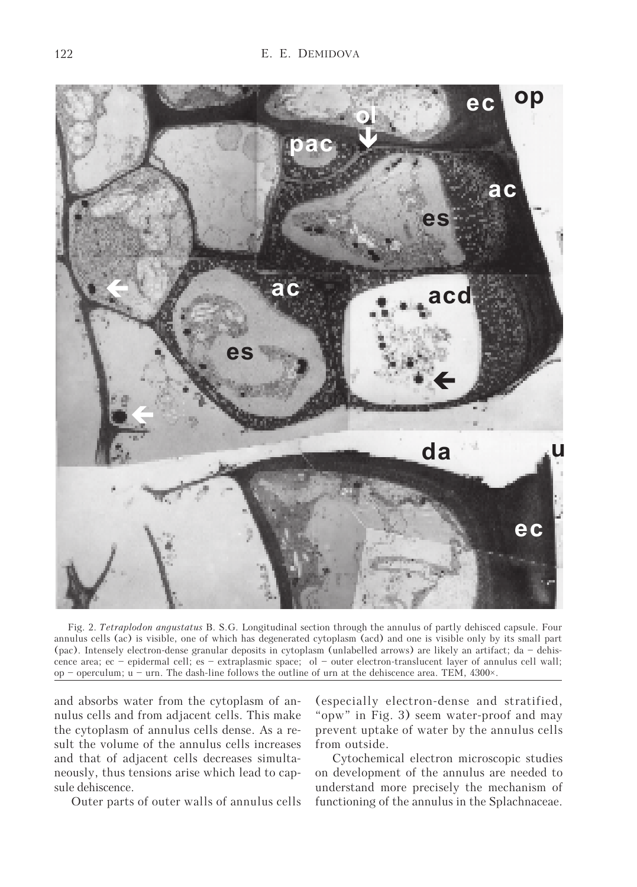

Fig. 2. Tetraplodon angustatus B. S.G. Longitudinal section through the annulus of partly dehisced capsule. Four annulus cells (ac) is visible, one of which has degenerated cytoplasm (acd) and one is visible only by its small part (pac). Intensely electron-dense granular deposits in cytoplasm (unlabelled arrows) are likely an artifact; da – dehiscence area; ec – epidermal cell; es – extraplasmic space; ol – outer electron-translucent layer of annulus cell wall; op – operculum;  $u - urn$ . The dash-line follows the outline of urn at the dehiscence area. TEM, 4300 $\times$ .

and absorbs water from the cytoplasm of annulus cells and from adjacent cells. This make the cytoplasm of annulus cells dense. As a result the volume of the annulus cells increases and that of adjacent cells decreases simultaneously, thus tensions arise which lead to capsule dehiscence.

Outer parts of outer walls of annulus cells

(especially electron-dense and stratified, "opw" in Fig. 3) seem water-proof and may prevent uptake of water by the annulus cells from outside.

Cytochemical electron microscopic studies on development of the annulus are needed to understand more precisely the mechanism of functioning of the annulus in the Splachnaceae.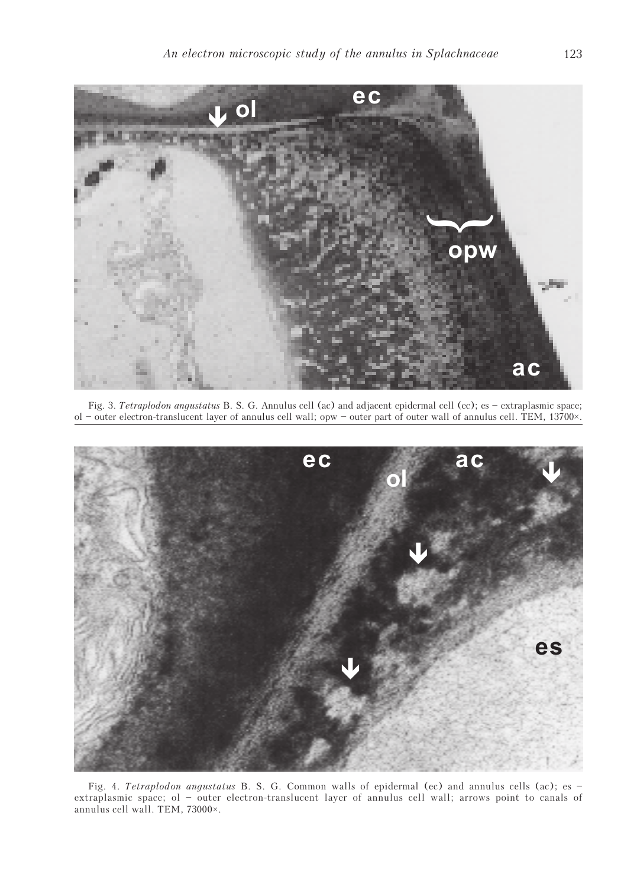

Fig. 3. Tetraplodon angustatus B. S. G. Annulus cell (ac) and adjacent epidermal cell (ec); es – extraplasmic space; ol – outer electron-translucent layer of annulus cell wall; opw – outer part of outer wall of annulus cell. TEM, 13700×.



Fig. 4. Tetraplodon angustatus B. S. G. Common walls of epidermal (ec) and annulus cells (ac); es extraplasmic space; ol – outer electron-translucent layer of annulus cell wall; arrows point to canals of annulus cell wall. TEM, 73000×.